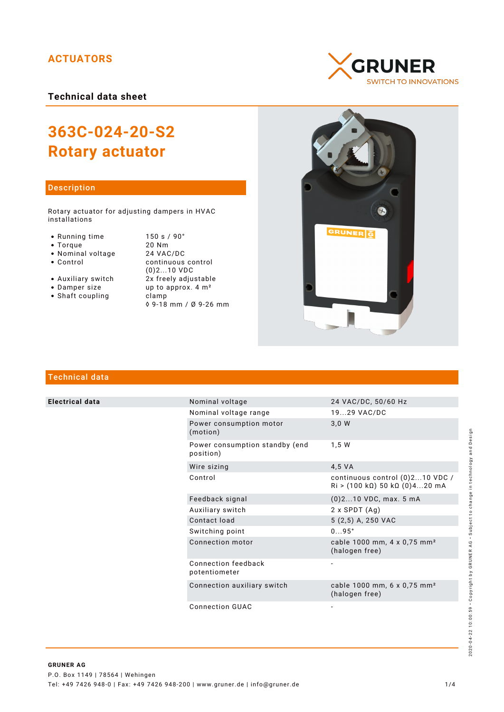# **ACTUATORS**

**Technical data sheet**

# **363C-024-20-S2 Rotary actuator**

## Description

Rotary actuator for adjusting dampers in HVAC installations

- 
- 
- 
- Nominal voltage<br>• Control
- 
- 
- Shaft coupling becamp

● Running time 150 s / 90°<br>● Torque 20 Nm • Torque 20 Nm<br>• Nominal voltage 24 VAC/DC continuous control (0)2...10 VDC • Auxiliary switch  $2x$  freely adjustable<br>• Damper size  $\mu$  up to approx. 4 m<sup>2</sup> up to approx.  $4 \text{ m}^2$ ◊ 9-18 mm / Ø 9-26 mm





# Technical data

**Electrical data** 

| Nominal voltage                             | 24 VAC/DC, 50/60 Hz                                                |  |
|---------------------------------------------|--------------------------------------------------------------------|--|
| Nominal voltage range                       | 1929 VAC/DC                                                        |  |
| Power consumption motor<br>(motion)         | 3,0 W                                                              |  |
| Power consumption standby (end<br>position) | 1,5 W                                                              |  |
| Wire sizing                                 | 4,5 VA                                                             |  |
| Control                                     | continuous control (0)210 VDC /<br>$Ri$ > (100 kΩ) 50 kΩ (0)420 mA |  |
| Feedback signal                             | $(0)$ 210 VDC, max. 5 mA                                           |  |
| Auxiliary switch                            | $2 \times$ SPDT $(Aq)$                                             |  |
| Contact load                                | 5 (2,5) A, 250 VAC                                                 |  |
| Switching point                             | $095^\circ$                                                        |  |
| Connection motor                            | cable 1000 mm, 4 x 0,75 mm <sup>2</sup><br>(halogen free)          |  |
| Connection feedback<br>potentiometer        |                                                                    |  |
| Connection auxiliary switch                 | cable 1000 mm, 6 x 0,75 mm <sup>2</sup><br>(halogen free)          |  |
|                                             |                                                                    |  |

Connection GUAC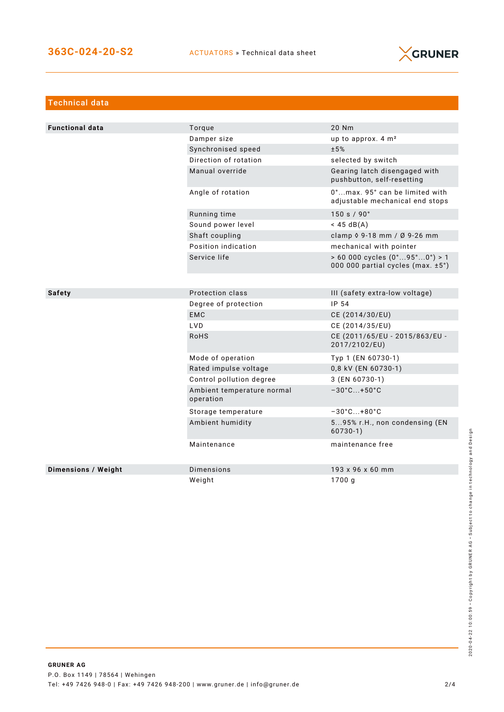

| <b>Technical data</b>      |                                         |                                                                                            |
|----------------------------|-----------------------------------------|--------------------------------------------------------------------------------------------|
|                            |                                         |                                                                                            |
| <b>Functional data</b>     | Torque                                  | 20 Nm                                                                                      |
|                            | Damper size                             | up to approx. $4 \text{ m}^2$                                                              |
|                            | Synchronised speed                      | ±5%                                                                                        |
|                            | Direction of rotation                   | selected by switch                                                                         |
|                            | Manual override                         | Gearing latch disengaged with<br>pushbutton, self-resetting                                |
|                            | Angle of rotation                       | 0°max. 95° can be limited with<br>adjustable mechanical end stops                          |
|                            | Running time                            | 150 s / 90°                                                                                |
|                            | Sound power level                       | $<$ 45 dB(A)                                                                               |
|                            | Shaft coupling                          | clamp 0 9-18 mm / Ø 9-26 mm                                                                |
|                            | Position indication                     | mechanical with pointer                                                                    |
|                            | Service life                            | $> 60000$ cycles $(0^{\circ}95^{\circ}0^{\circ}) > 1$<br>000 000 partial cycles (max. ±5°) |
|                            |                                         |                                                                                            |
| Safety                     | Protection class                        | III (safety extra-low voltage)                                                             |
|                            | Degree of protection                    | IP 54                                                                                      |
|                            | <b>EMC</b>                              | CE (2014/30/EU)                                                                            |
|                            | <b>LVD</b>                              | CE (2014/35/EU)                                                                            |
|                            | <b>RoHS</b>                             | CE (2011/65/EU - 2015/863/EU -<br>2017/2102/EU)                                            |
|                            | Mode of operation                       | Typ 1 (EN 60730-1)                                                                         |
|                            | Rated impulse voltage                   | 0,8 kV (EN 60730-1)                                                                        |
|                            | Control pollution degree                | 3 (EN 60730-1)                                                                             |
|                            | Ambient temperature normal<br>operation | $-30^{\circ}$ C+50 $^{\circ}$ C                                                            |
|                            | Storage temperature                     | $-30^{\circ}$ C +80 $^{\circ}$ C                                                           |
|                            | Ambient humidity                        | 595% r.H., non condensing (EN<br>$60730-1)$                                                |
|                            | Maintenance                             | maintenance free                                                                           |
| <b>Dimensions / Weight</b> | Dimensions                              | 193 x 96 x 60 mm                                                                           |
|                            | Weight                                  | 1700 g                                                                                     |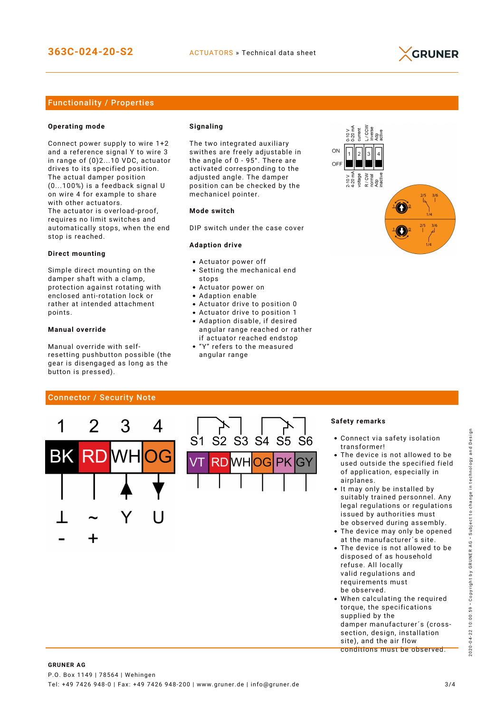

## Functionality / Properties

#### **Operating mode**

Connect power supply to wire 1+2 and a reference signal Y to wire 3 in range of (0)2...10 VDC, actuator drives to its specified position. The actual damper position (0...100%) is a feedback signal U on wire 4 for example to share with other actuators. The actuator is overload-proof, requires no limit switches and automatically stops, when the end stop is reached.

#### **Direct mounting**

Simple direct mounting on the damper shaft with a clamp, protection against rotating with enclosed anti-rotation lock or rather at intended attachment points.

#### **Manual override**

Manual override with selfresetting pushbutton possible (the gear is disengaged as long as the button is pressed).

#### **Signaling**

The two integrated auxiliary swithes are freely adjustable in the angle of 0 - 95°. There are activated corresponding to the adjusted angle. The damper position can be checked by the mechanicel pointer.

#### **Mode switch**

DIP switch under the case cover

#### **Adaption drive**

- Actuator power off
- Setting the mechanical end stops
- Actuator power on
- Adaption enable
- Actuator drive to position 0
- Actuator drive to position 1 Adaption disable, if desired angular range reached or rather
- if actuator reached endstop "Y" refers to the measured
- angular range



## Connector / Security Note



#### **Safety remarks**

- Connect via safety isolation transformer!
- The device is not allowed to be used outside the specified field of application, especially in airplanes.
- It may only be installed by suitably trained personnel. Any legal regulations or regulations issued by authorities must be observed during assembly.
- The device may only be opened at the manufacturer´s site.
- The device is not allowed to be disposed of as household refuse. All locally valid regulations and requirements must be observed.
- When calculating the required torque, the specifications supplied by the damper manufacturer´s (crosssection, design, installation site), and the air flow conditions must be observed.